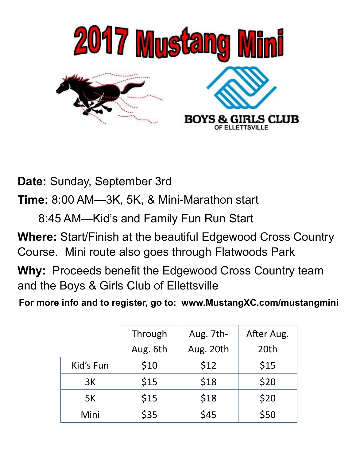

**Date:** Sunday, September 3rd

**Time:** 8:00 AM—3K, 5K, & Mini-Marathon start

8:45 AM—Kid's and Family Fun Run Start

**Where:** Start/Finish at the beautiful Edgewood Cross Country Course. Mini route also goes through Flatwoods Park

**Why:** Proceeds benefit the Edgewood Cross Country team and the Boys & Girls Club of Ellettsville

**For more info and to register, go to: www.MustangXC.com/mustangmini**

|           | Through  | Aug. 7th- | After Aug. |
|-----------|----------|-----------|------------|
|           | Aug. 6th | Aug. 20th | 20th       |
| Kid's Fun | \$10     | \$12      | \$15       |
| 3K        | \$15     | \$18      | \$20       |
| 5K        | \$15     | \$18      | \$20       |
| Mini      | \$35     | \$45      | \$50       |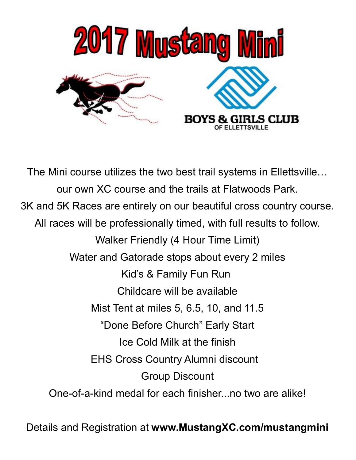

The Mini course utilizes the two best trail systems in Ellettsville… our own XC course and the trails at Flatwoods Park. 3K and 5K Races are entirely on our beautiful cross country course. All races will be professionally timed, with full results to follow. Walker Friendly (4 Hour Time Limit) Water and Gatorade stops about every 2 miles Kid's & Family Fun Run Childcare will be available Mist Tent at miles 5, 6.5, 10, and 11.5 "Done Before Church" Early Start Ice Cold Milk at the finish EHS Cross Country Alumni discount Group Discount One-of-a-kind medal for each finisher...no two are alike!

Details and Registration at **www.MustangXC.com/mustangmini**